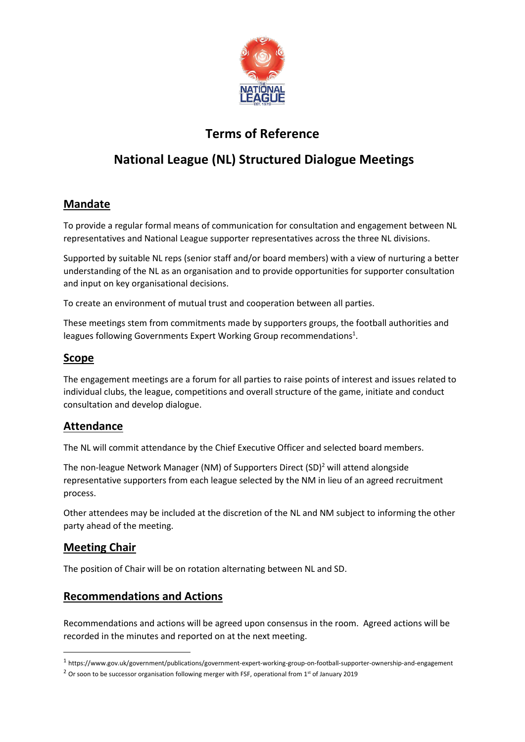

# **Terms of Reference**

# **National League (NL) Structured Dialogue Meetings**

## **Mandate**

To provide a regular formal means of communication for consultation and engagement between NL representatives and National League supporter representatives across the three NL divisions.

Supported by suitable NL reps (senior staff and/or board members) with a view of nurturing a better understanding of the NL as an organisation and to provide opportunities for supporter consultation and input on key organisational decisions.

To create an environment of mutual trust and cooperation between all parties.

These meetings stem from commitments made by supporters groups, the football authorities and leagues following Governments Expert Working Group recommendations $^{1}$ .

#### **Scope**

The engagement meetings are a forum for all parties to raise points of interest and issues related to individual clubs, the league, competitions and overall structure of the game, initiate and conduct consultation and develop dialogue.

#### **Attendance**

The NL will commit attendance by the Chief Executive Officer and selected board members.

The non-league Network Manager (NM) of Supporters Direct (SD)<sup>2</sup> will attend alongside representative supporters from each league selected by the NM in lieu of an agreed recruitment process.

Other attendees may be included at the discretion of the NL and NM subject to informing the other party ahead of the meeting.

## **Meeting Chair**

The position of Chair will be on rotation alternating between NL and SD.

## **Recommendations and Actions**

Recommendations and actions will be agreed upon consensus in the room. Agreed actions will be recorded in the minutes and reported on at the next meeting.

<sup>1</sup> https://www.gov.uk/government/publications/government-expert-working-group-on-football-supporter-ownership-and-engagement

 $2$  Or soon to be successor organisation following merger with FSF, operational from 1<sup>st</sup> of January 2019